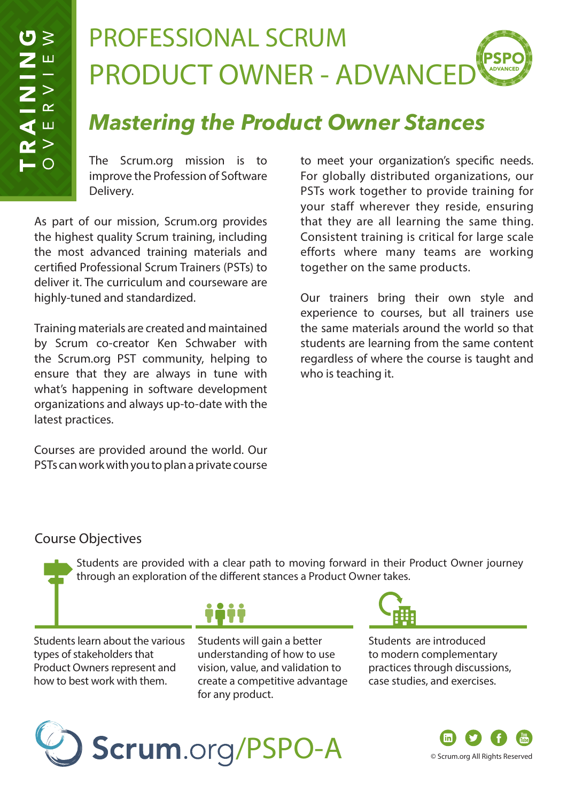# PROFESSIONAL SCRUM PRODUCT OWNER - ADVANCED

## *Mastering the Product Owner Stances*

The Scrum.org mission is to improve the Profession of Software Delivery.

As part of our mission, Scrum.org provides the highest quality Scrum training, including the most advanced training materials and certified Professional Scrum Trainers (PSTs) to deliver it. The curriculum and courseware are highly-tuned and standardized.

Training materials are created and maintained by Scrum co-creator Ken Schwaber with the Scrum.org PST community, helping to ensure that they are always in tune with what's happening in software development organizations and always up-to-date with the latest practices.

Courses are provided around the world. Our PSTs can work with you to plan a private course to meet your organization's specific needs. For globally distributed organizations, our PSTs work together to provide training for your staff wherever they reside, ensuring that they are all learning the same thing. Consistent training is critical for large scale efforts where many teams are working together on the same products.

Our trainers bring their own style and experience to courses, but all trainers use the same materials around the world so that students are learning from the same content regardless of where the course is taught and who is teaching it.

#### Course Objectives

Students are provided with a clear path to moving forward in their Product Owner journey through an exploration of the different stances a Product Owner takes.

Students learn about the various types of stakeholders that Product Owners represent and how to best work with them.



Students will gain a better understanding of how to use vision, value, and validation to create a competitive advantage for any product.



Students are introduced to modern complementary practices through discussions, case studies, and exercises.